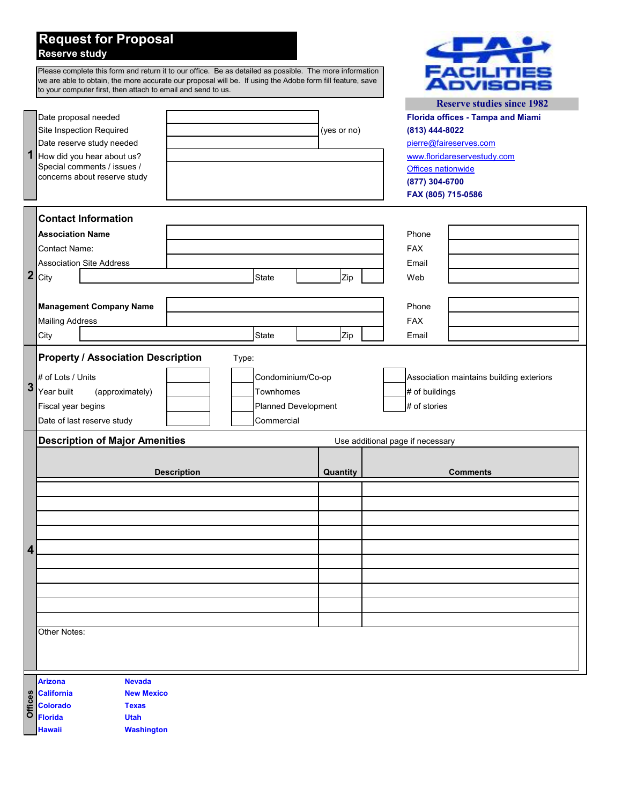## **Request for Proposal Reserve study**

|                  | Please complete this form and return it to our office. Be as detailed as possible. The more information<br>we are able to obtain, the more accurate our proposal will be. If using the Adobe form fill feature, save<br>to your computer first, then attach to email and send to us. |                                                                            | <b>FACILITIES</b><br><b>Reserve studies since 1982</b>                                                                                                                            |  |
|------------------|--------------------------------------------------------------------------------------------------------------------------------------------------------------------------------------------------------------------------------------------------------------------------------------|----------------------------------------------------------------------------|-----------------------------------------------------------------------------------------------------------------------------------------------------------------------------------|--|
| 1                | Date proposal needed<br>Site Inspection Required<br>Date reserve study needed<br>How did you hear about us?<br>Special comments / issues /<br>concerns about reserve study                                                                                                           | (yes or no)                                                                | <b>Florida offices - Tampa and Miami</b><br>(813) 444-8022<br>pierre@faireserves.com<br>www.floridareservestudy.com<br>Offices nationwide<br>(877) 304-6700<br>FAX (805) 715-0586 |  |
| $\boldsymbol{2}$ | <b>Contact Information</b><br><b>Association Name</b><br><b>Contact Name:</b><br><b>Association Site Address</b><br>City<br><b>State</b><br><b>Management Company Name</b><br><b>Mailing Address</b><br><b>State</b><br>City                                                         | Zip<br>Zip                                                                 | Phone<br><b>FAX</b><br>Email<br>Web<br>Phone<br><b>FAX</b><br>Email                                                                                                               |  |
| 3                | <b>Property / Association Description</b><br>Type:<br>Condominium/Co-op<br># of Lots / Units<br>(approximately)<br>Year built<br>Townhomes<br>Fiscal year begins<br><b>Planned Development</b><br>Date of last reserve study<br>Commercial                                           | Association maintains building exteriors<br># of buildings<br># of stories |                                                                                                                                                                                   |  |
| 4                | <b>Description of Major Amenities</b><br><b>Description</b>                                                                                                                                                                                                                          | Quantity                                                                   | Use additional page if necessary<br><b>Comments</b>                                                                                                                               |  |
|                  |                                                                                                                                                                                                                                                                                      |                                                                            |                                                                                                                                                                                   |  |
|                  | Other Notes:                                                                                                                                                                                                                                                                         |                                                                            |                                                                                                                                                                                   |  |
| Offices          | <b>Arizona</b><br><b>Nevada</b><br><b>New Mexico</b><br><b>California</b><br><b>Colorado</b><br><b>Texas</b><br><b>Utah</b><br><b>Florida</b><br><b>Washington</b><br><b>Hawaii</b>                                                                                                  |                                                                            |                                                                                                                                                                                   |  |

 $\left\langle \Gamma \Lambda \right\rangle$